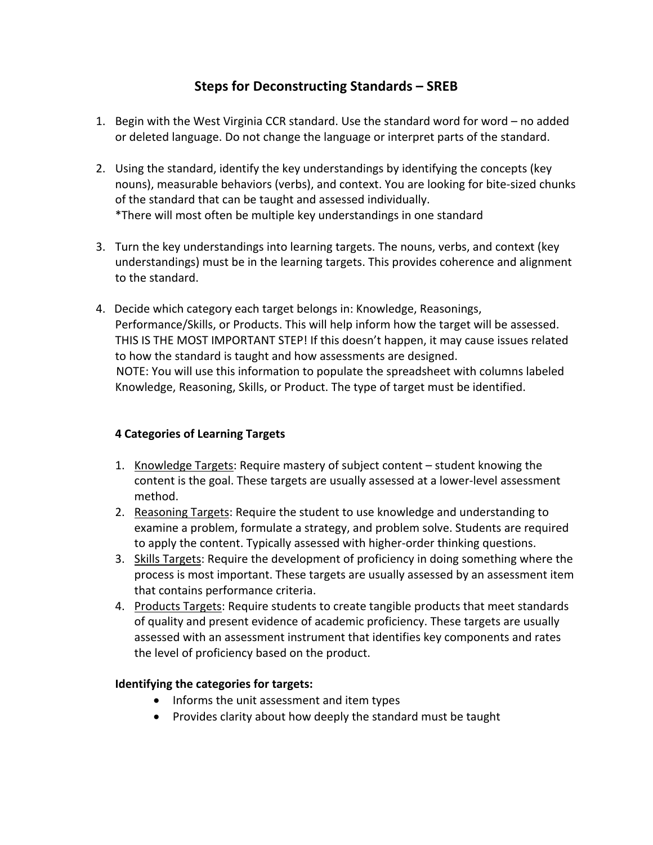## **Steps for Deconstructing Standards – SREB**

- 1. Begin with the West Virginia CCR standard. Use the standard word for word no added or deleted language. Do not change the language or interpret parts of the standard.
- 2. Using the standard, identify the key understandings by identifying the concepts (key nouns), measurable behaviors (verbs), and context. You are looking for bite-sized chunks of the standard that can be taught and assessed individually. \*There will most often be multiple key understandings in one standard
- 3. Turn the key understandings into learning targets. The nouns, verbs, and context (key understandings) must be in the learning targets. This provides coherence and alignment to the standard.
- 4. Decide which category each target belongs in: Knowledge, Reasonings, Performance/Skills, or Products. This will help inform how the target will be assessed. THIS IS THE MOST IMPORTANT STEP! If this doesn't happen, it may cause issues related to how the standard is taught and how assessments are designed. NOTE: You will use this information to populate the spreadsheet with columns labeled Knowledge, Reasoning, Skills, or Product. The type of target must be identified.

## **4 Categories of Learning Targets**

- 1. Knowledge Targets: Require mastery of subject content student knowing the content is the goal. These targets are usually assessed at a lower-level assessment method.
- 2. Reasoning Targets: Require the student to use knowledge and understanding to examine a problem, formulate a strategy, and problem solve. Students are required to apply the content. Typically assessed with higher-order thinking questions.
- 3. Skills Targets: Require the development of proficiency in doing something where the process is most important. These targets are usually assessed by an assessment item that contains performance criteria.
- 4. Products Targets: Require students to create tangible products that meet standards of quality and present evidence of academic proficiency. These targets are usually assessed with an assessment instrument that identifies key components and rates the level of proficiency based on the product.

## **Identifying the categories for targets:**

- Informs the unit assessment and item types
- Provides clarity about how deeply the standard must be taught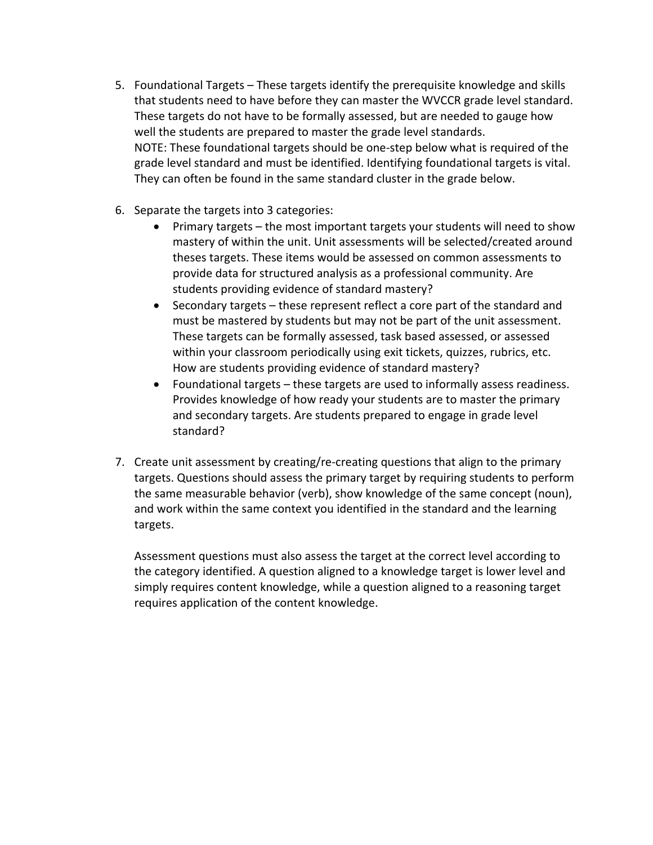- 5. Foundational Targets These targets identify the prerequisite knowledge and skills that students need to have before they can master the WVCCR grade level standard. These targets do not have to be formally assessed, but are needed to gauge how well the students are prepared to master the grade level standards. NOTE: These foundational targets should be one-step below what is required of the grade level standard and must be identified. Identifying foundational targets is vital. They can often be found in the same standard cluster in the grade below.
- 6. Separate the targets into 3 categories:
	- Primary targets the most important targets your students will need to show mastery of within the unit. Unit assessments will be selected/created around theses targets. These items would be assessed on common assessments to provide data for structured analysis as a professional community. Are students providing evidence of standard mastery?
	- Secondary targets these represent reflect a core part of the standard and must be mastered by students but may not be part of the unit assessment. These targets can be formally assessed, task based assessed, or assessed within your classroom periodically using exit tickets, quizzes, rubrics, etc. How are students providing evidence of standard mastery?
	- Foundational targets these targets are used to informally assess readiness. Provides knowledge of how ready your students are to master the primary and secondary targets. Are students prepared to engage in grade level standard?
- 7. Create unit assessment by creating/re-creating questions that align to the primary targets. Questions should assess the primary target by requiring students to perform the same measurable behavior (verb), show knowledge of the same concept (noun), and work within the same context you identified in the standard and the learning targets.

Assessment questions must also assess the target at the correct level according to the category identified. A question aligned to a knowledge target is lower level and simply requires content knowledge, while a question aligned to a reasoning target requires application of the content knowledge.